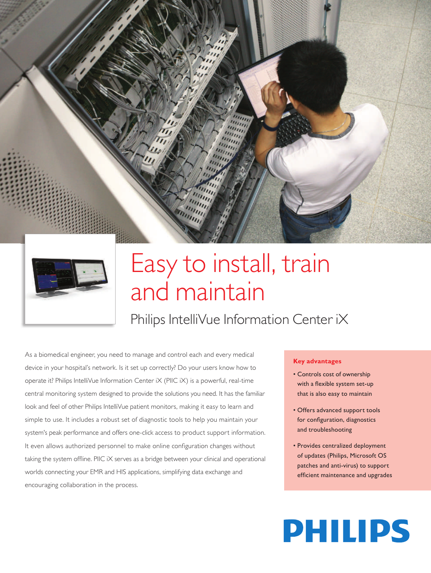

## Easy to install, train and maintain

Philips IntelliVue Information Center iX

As a biomedical engineer, you need to manage and control each and every medical device in your hospital's network. Is it set up correctly? Do your users know how to operate it? Philips IntelliVue Information Center iX (PIIC iX) is a powerful, real-time central monitoring system designed to provide the solutions you need. It has the familiar look and feel of other Philips IntelliVue patient monitors, making it easy to learn and simple to use. It includes a robust set of diagnostic tools to help you maintain your system's peak performance and offers one-click access to product support information. It even allows authorized personnel to make online configuration changes without taking the system offline. PIIC iX serves as a bridge between your clinical and operational worlds connecting your EMR and HIS applications, simplifying data exchange and encouraging collaboration in the process.

## **Key advantages**

- Controls cost of ownership with a flexible system set-up that is also easy to maintain
- Offers advanced support tools for configuration, diagnostics and troubleshooting
- Provides centralized deployment of updates (Philips, Microsoft OS patches and anti-virus) to support efficient maintenance and upgrades

# **PHILIPS**